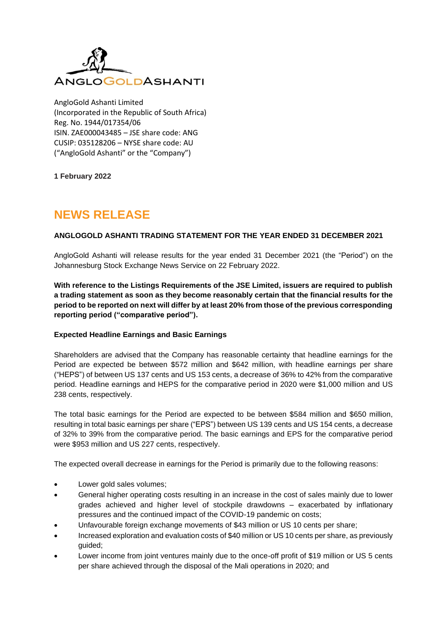

AngloGold Ashanti Limited (Incorporated in the Republic of South Africa) Reg. No. 1944/017354/06 ISIN. ZAE000043485 – JSE share code: ANG CUSIP: 035128206 – NYSE share code: AU ("AngloGold Ashanti" or the "Company")

**1 February 2022**

# **NEWS RELEASE**

## **ANGLOGOLD ASHANTI TRADING STATEMENT FOR THE YEAR ENDED 31 DECEMBER 2021**

AngloGold Ashanti will release results for the year ended 31 December 2021 (the "Period") on the Johannesburg Stock Exchange News Service on 22 February 2022.

**With reference to the Listings Requirements of the JSE Limited, issuers are required to publish a trading statement as soon as they become reasonably certain that the financial results for the period to be reported on next will differ by at least 20% from those of the previous corresponding reporting period ("comparative period").**

#### **Expected Headline Earnings and Basic Earnings**

Shareholders are advised that the Company has reasonable certainty that headline earnings for the Period are expected be between \$572 million and \$642 million, with headline earnings per share ("HEPS") of between US 137 cents and US 153 cents, a decrease of 36% to 42% from the comparative period. Headline earnings and HEPS for the comparative period in 2020 were \$1,000 million and US 238 cents, respectively.

The total basic earnings for the Period are expected to be between \$584 million and \$650 million, resulting in total basic earnings per share ("EPS") between US 139 cents and US 154 cents, a decrease of 32% to 39% from the comparative period. The basic earnings and EPS for the comparative period were \$953 million and US 227 cents, respectively.

The expected overall decrease in earnings for the Period is primarily due to the following reasons:

- Lower gold sales volumes;
- General higher operating costs resulting in an increase in the cost of sales mainly due to lower grades achieved and higher level of stockpile drawdowns – exacerbated by inflationary pressures and the continued impact of the COVID-19 pandemic on costs;
- Unfavourable foreign exchange movements of \$43 million or US 10 cents per share;
- Increased exploration and evaluation costs of \$40 million or US 10 cents per share, as previously guided;
- Lower income from joint ventures mainly due to the once-off profit of \$19 million or US 5 cents per share achieved through the disposal of the Mali operations in 2020; and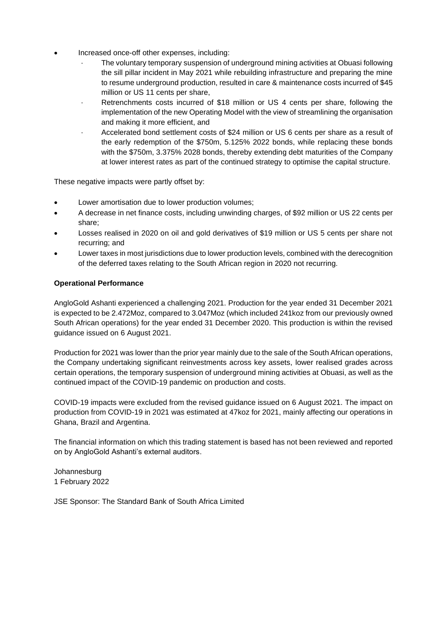- Increased once-off other expenses, including:
	- · The voluntary temporary suspension of underground mining activities at Obuasi following the sill pillar incident in May 2021 while rebuilding infrastructure and preparing the mine to resume underground production, resulted in care & maintenance costs incurred of \$45 million or US 11 cents per share,
	- Retrenchments costs incurred of \$18 million or US 4 cents per share, following the implementation of the new Operating Model with the view of streamlining the organisation and making it more efficient, and
	- · Accelerated bond settlement costs of \$24 million or US 6 cents per share as a result of the early redemption of the \$750m, 5.125% 2022 bonds, while replacing these bonds with the \$750m, 3.375% 2028 bonds, thereby extending debt maturities of the Company at lower interest rates as part of the continued strategy to optimise the capital structure.

These negative impacts were partly offset by:

- Lower amortisation due to lower production volumes;
- A decrease in net finance costs, including unwinding charges, of \$92 million or US 22 cents per share;
- Losses realised in 2020 on oil and gold derivatives of \$19 million or US 5 cents per share not recurring; and
- Lower taxes in most jurisdictions due to lower production levels, combined with the derecognition of the deferred taxes relating to the South African region in 2020 not recurring.

## **Operational Performance**

AngloGold Ashanti experienced a challenging 2021. Production for the year ended 31 December 2021 is expected to be 2.472Moz, compared to 3.047Moz (which included 241koz from our previously owned South African operations) for the year ended 31 December 2020. This production is within the revised guidance issued on 6 August 2021.

Production for 2021 was lower than the prior year mainly due to the sale of the South African operations, the Company undertaking significant reinvestments across key assets, lower realised grades across certain operations, the temporary suspension of underground mining activities at Obuasi, as well as the continued impact of the COVID-19 pandemic on production and costs.

COVID-19 impacts were excluded from the revised guidance issued on 6 August 2021. The impact on production from COVID-19 in 2021 was estimated at 47koz for 2021, mainly affecting our operations in Ghana, Brazil and Argentina.

The financial information on which this trading statement is based has not been reviewed and reported on by AngloGold Ashanti's external auditors.

Johannesburg 1 February 2022

JSE Sponsor: The Standard Bank of South Africa Limited